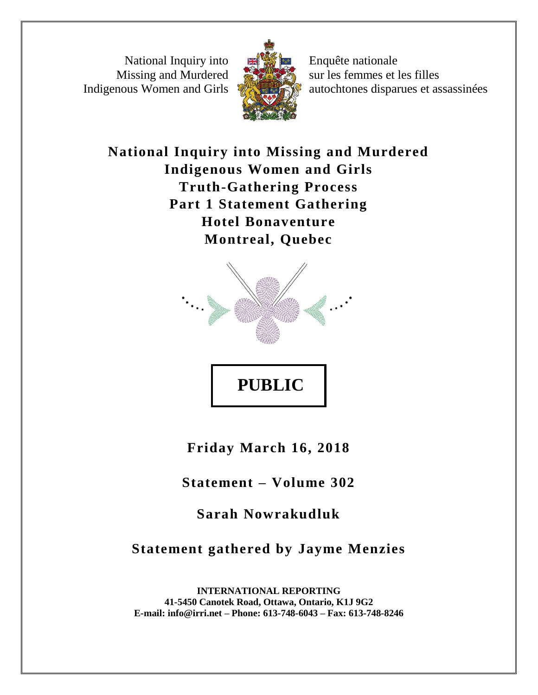National Inquiry into Missing and Murdered Indigenous Women and Girls



Enquête nationale sur les femmes et les filles autochtones disparues et assassinées

**National Inquiry into Missing and Murdered Indigenous Women and Girls Truth-Gathering Process Part 1 Statement Gathering Hotel Bonaventure Montreal, Quebec**



**Friday March 16, 2018**

**Statement – Volume 302**

**Sarah Nowrakudluk** 

**Statement gathered by Jayme Menzies**

**INTERNATIONAL REPORTING 41-5450 Canotek Road, Ottawa, Ontario, K1J 9G2 E-mail: info@irri.net – Phone: 613-748-6043 – Fax: 613-748-8246**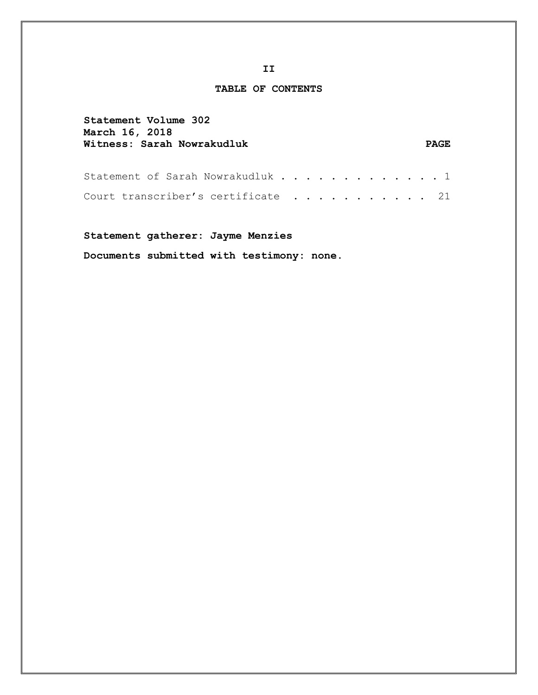## **TABLE OF CONTENTS**

| Statement Volume 302             |       |
|----------------------------------|-------|
| March 16, 2018                   |       |
| Witness: Sarah Nowrakudluk       | PAGE. |
|                                  |       |
|                                  |       |
| Statement of Sarah Nowrakudluk 1 |       |
|                                  |       |

Court transcriber's certificate . . . . . . . . . . 21

**Statement gatherer: Jayme Menzies** 

**Documents submitted with testimony: none.**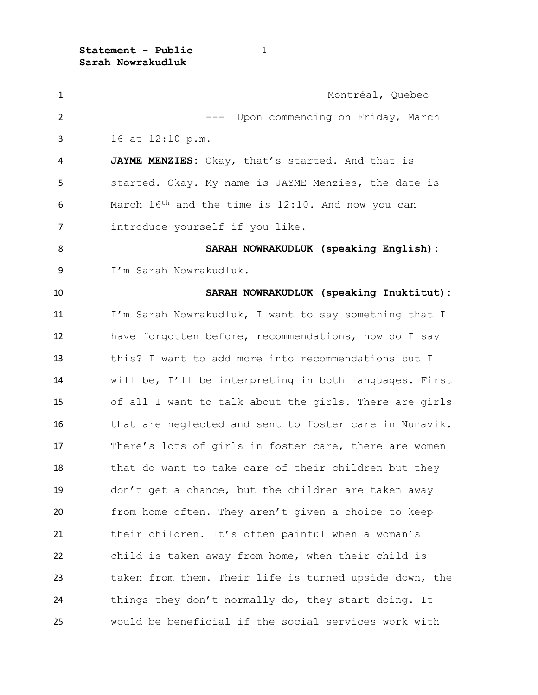| $\mathbf{1}$   | Montréal, Quebec                                       |
|----------------|--------------------------------------------------------|
| $\overline{2}$ | --- Upon commencing on Friday, March                   |
| 3              | 16 at 12:10 p.m.                                       |
| 4              | JAYME MENZIES: Okay, that's started. And that is       |
| 5              | started. Okay. My name is JAYME Menzies, the date is   |
| 6              | March 16th and the time is 12:10. And now you can      |
| $\overline{7}$ | introduce yourself if you like.                        |
| 8              | SARAH NOWRAKUDLUK (speaking English):                  |
| 9              | I'm Sarah Nowrakudluk.                                 |
| 10             | SARAH NOWRAKUDLUK (speaking Inuktitut):                |
| 11             | I'm Sarah Nowrakudluk, I want to say something that I  |
| 12             | have forgotten before, recommendations, how do I say   |
| 13             | this? I want to add more into recommendations but I    |
| 14             | will be, I'll be interpreting in both languages. First |
| 15             | of all I want to talk about the girls. There are girls |
| 16             | that are neglected and sent to foster care in Nunavik. |
| 17             | There's lots of girls in foster care, there are women  |
| 18             | that do want to take care of their children but they   |
| 19             | don't get a chance, but the children are taken away    |
| 20             | from home often. They aren't given a choice to keep    |
| 21             | their children. It's often painful when a woman's      |
| 22             | child is taken away from home, when their child is     |
| 23             | taken from them. Their life is turned upside down, the |
| 24             | things they don't normally do, they start doing. It    |
| 25             | would be beneficial if the social services work with   |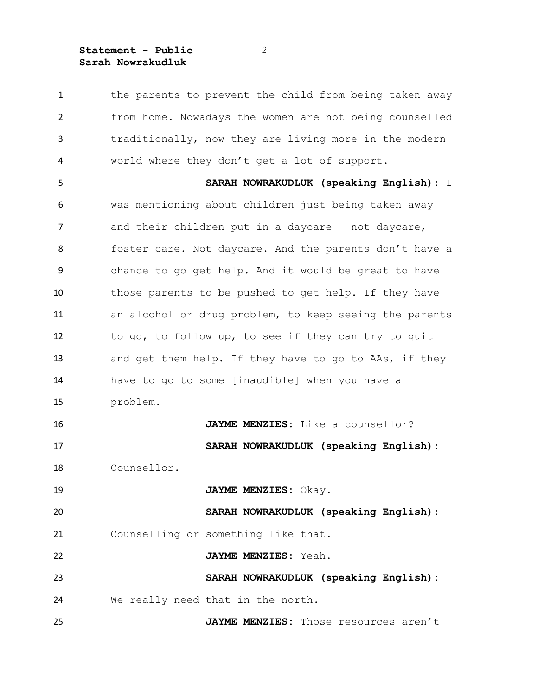1 the parents to prevent the child from being taken away from home. Nowadays the women are not being counselled traditionally, now they are living more in the modern world where they don't get a lot of support. **SARAH NOWRAKUDLUK (speaking English):** I was mentioning about children just being taken away 7 and their children put in a daycare - not daycare, foster care. Not daycare. And the parents don't have a chance to go get help. And it would be great to have those parents to be pushed to get help. If they have an alcohol or drug problem, to keep seeing the parents to go, to follow up, to see if they can try to quit 13 and get them help. If they have to go to AAs, if they have to go to some [inaudible] when you have a problem. **JAYME MENZIES:** Like a counsellor? **SARAH NOWRAKUDLUK (speaking English):** Counsellor. **JAYME MENZIES:** Okay. **SARAH NOWRAKUDLUK (speaking English):** Counselling or something like that. **JAYME MENZIES:** Yeah. **SARAH NOWRAKUDLUK (speaking English):** We really need that in the north. **JAYME MENZIES:** Those resources aren't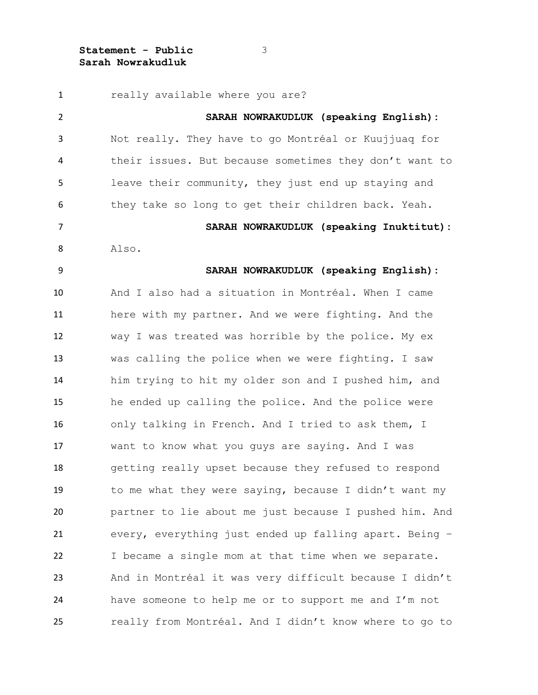really available where you are? **SARAH NOWRAKUDLUK (speaking English):** Not really. They have to go Montréal or Kuujjuaq for their issues. But because sometimes they don't want to leave their community, they just end up staying and they take so long to get their children back. Yeah. **SARAH NOWRAKUDLUK (speaking Inuktitut):** Also. **SARAH NOWRAKUDLUK (speaking English):** And I also had a situation in Montréal. When I came here with my partner. And we were fighting. And the way I was treated was horrible by the police. My ex was calling the police when we were fighting. I saw him trying to hit my older son and I pushed him, and he ended up calling the police. And the police were only talking in French. And I tried to ask them, I want to know what you guys are saying. And I was getting really upset because they refused to respond to me what they were saying, because I didn't want my partner to lie about me just because I pushed him. And every, everything just ended up falling apart. Being – I became a single mom at that time when we separate. And in Montréal it was very difficult because I didn't have someone to help me or to support me and I'm not really from Montréal. And I didn't know where to go to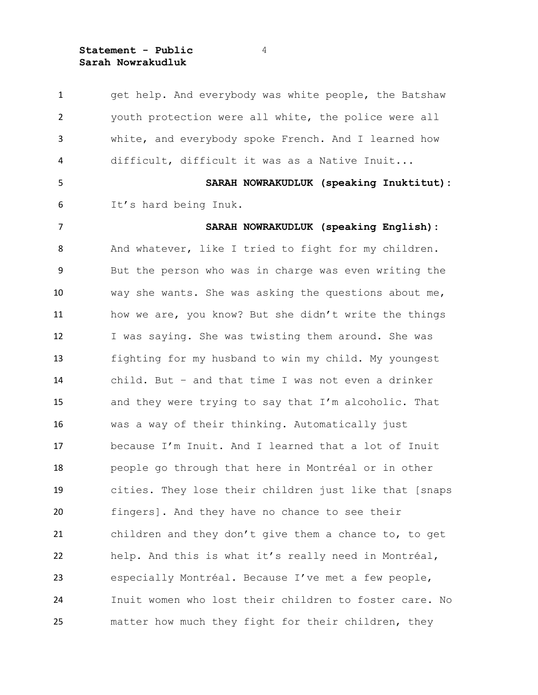get help. And everybody was white people, the Batshaw youth protection were all white, the police were all white, and everybody spoke French. And I learned how difficult, difficult it was as a Native Inuit... **SARAH NOWRAKUDLUK (speaking Inuktitut):** It's hard being Inuk. **SARAH NOWRAKUDLUK (speaking English):** And whatever, like I tried to fight for my children. But the person who was in charge was even writing the way she wants. She was asking the questions about me, how we are, you know? But she didn't write the things I was saying. She was twisting them around. She was fighting for my husband to win my child. My youngest child. But – and that time I was not even a drinker and they were trying to say that I'm alcoholic. That was a way of their thinking. Automatically just because I'm Inuit. And I learned that a lot of Inuit people go through that here in Montréal or in other cities. They lose their children just like that [snaps fingers]. And they have no chance to see their children and they don't give them a chance to, to get help. And this is what it's really need in Montréal, especially Montréal. Because I've met a few people, Inuit women who lost their children to foster care. No matter how much they fight for their children, they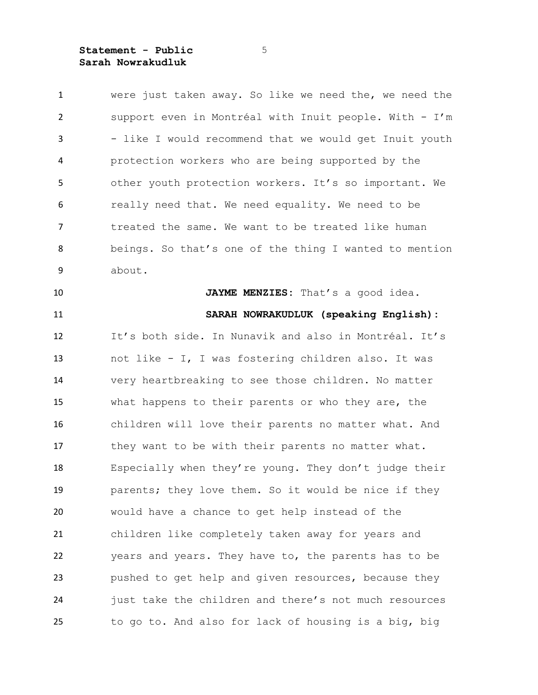| $\mathbf{1}$   | were just taken away. So like we need the, we need the |
|----------------|--------------------------------------------------------|
| $\overline{2}$ | support even in Montréal with Inuit people. With - I'm |
| 3              | - like I would recommend that we would get Inuit youth |
| 4              | protection workers who are being supported by the      |
| 5              | other youth protection workers. It's so important. We  |
| 6              | really need that. We need equality. We need to be      |
| $\overline{7}$ | treated the same. We want to be treated like human     |
| 8              | beings. So that's one of the thing I wanted to mention |
| 9              | about.                                                 |
| 10             | JAYME MENZIES: That's a good idea.                     |
| 11             | SARAH NOWRAKUDLUK (speaking English):                  |
| 12             | It's both side. In Nunavik and also in Montréal. It's  |
| 13             | not like - I, I was fostering children also. It was    |
| 14             | very heartbreaking to see those children. No matter    |
| 15             | what happens to their parents or who they are, the     |
| 16             | children will love their parents no matter what. And   |
| 17             | they want to be with their parents no matter what.     |
| 18             | Especially when they're young. They don't judge their  |
| 19             | parents; they love them. So it would be nice if they   |
| 20             | would have a chance to get help instead of the         |
| 21             | children like completely taken away for years and      |
| 22             | years and years. They have to, the parents has to be   |
| 23             | pushed to get help and given resources, because they   |
| 24             | just take the children and there's not much resources  |
| 25             | to go to. And also for lack of housing is a big, big   |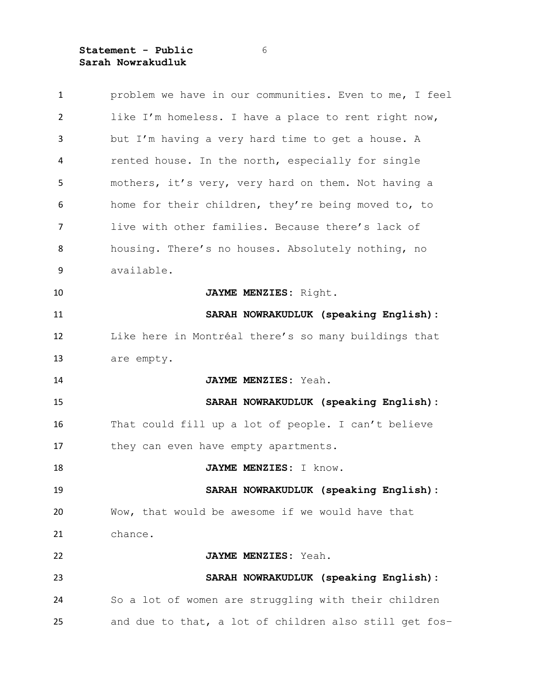| $\mathbf{1}$   | problem we have in our communities. Even to me, I feel |
|----------------|--------------------------------------------------------|
| $\overline{2}$ | like I'm homeless. I have a place to rent right now,   |
| 3              | but I'm having a very hard time to get a house. A      |
| 4              | rented house. In the north, especially for single      |
| 5              | mothers, it's very, very hard on them. Not having a    |
| 6              | home for their children, they're being moved to, to    |
| $\overline{7}$ | live with other families. Because there's lack of      |
| 8              | housing. There's no houses. Absolutely nothing, no     |
| 9              | available.                                             |
| 10             | JAYME MENZIES: Right.                                  |
| 11             | SARAH NOWRAKUDLUK (speaking English):                  |
| 12             | Like here in Montréal there's so many buildings that   |
| 13             | are empty.                                             |
| 14             | JAYME MENZIES: Yeah.                                   |
| 15             | SARAH NOWRAKUDLUK (speaking English):                  |
| 16             | That could fill up a lot of people. I can't believe    |
| 17             | they can even have empty apartments.                   |
| 18             | JAYME MENZIES: I know.                                 |
| 19             | SARAH NOWRAKUDLUK (speaking English):                  |
| 20             | Wow, that would be awesome if we would have that       |
| 21             | chance.                                                |
| 22             | JAYME MENZIES: Yeah.                                   |
| 23             | SARAH NOWRAKUDLUK (speaking English):                  |
| 24             | So a lot of women are struggling with their children   |
| 25             | and due to that, a lot of children also still get fos- |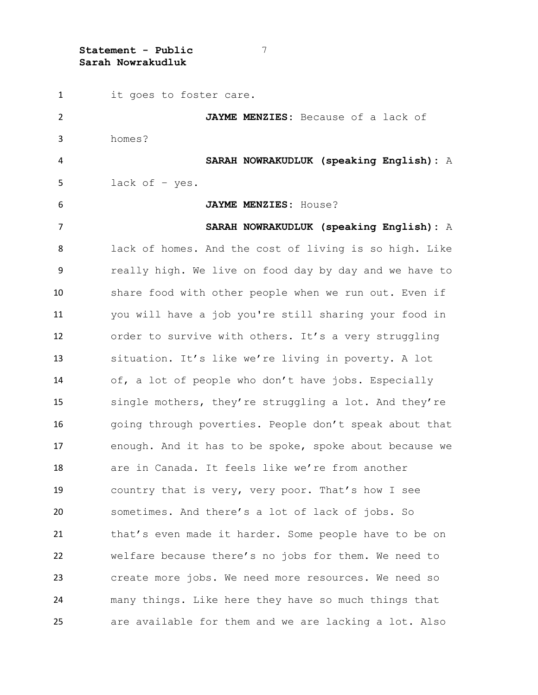it goes to foster care. **JAYME MENZIES:** Because of a lack of homes? **SARAH NOWRAKUDLUK (speaking English):** A lack of – yes. **JAYME MENZIES:** House? **SARAH NOWRAKUDLUK (speaking English):** A lack of homes. And the cost of living is so high. Like really high. We live on food day by day and we have to share food with other people when we run out. Even if you will have a job you're still sharing your food in order to survive with others. It's a very struggling situation. It's like we're living in poverty. A lot of, a lot of people who don't have jobs. Especially single mothers, they're struggling a lot. And they're 16 going through poverties. People don't speak about that enough. And it has to be spoke, spoke about because we are in Canada. It feels like we're from another country that is very, very poor. That's how I see sometimes. And there's a lot of lack of jobs. So that's even made it harder. Some people have to be on welfare because there's no jobs for them. We need to create more jobs. We need more resources. We need so many things. Like here they have so much things that are available for them and we are lacking a lot. Also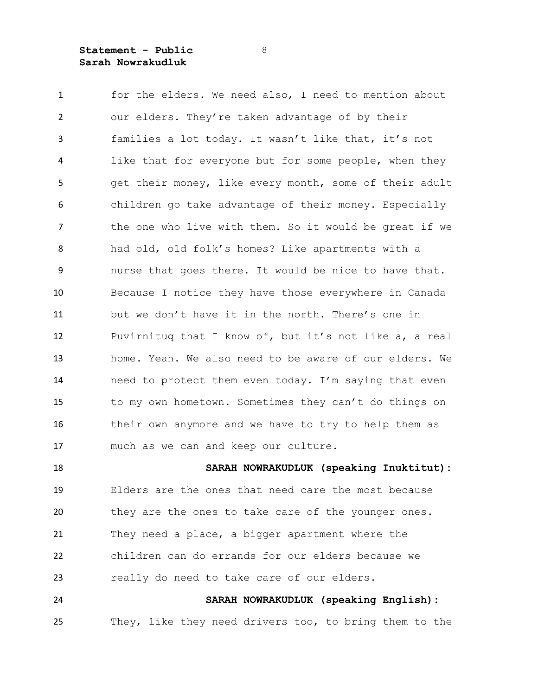for the elders. We need also, I need to mention about our elders. They're taken advantage of by their families a lot today. It wasn't like that, it's not like that for everyone but for some people, when they get their money, like every month, some of their adult children go take advantage of their money. Especially 7 the one who live with them. So it would be great if we had old, old folk's homes? Like apartments with a nurse that goes there. It would be nice to have that. Because I notice they have those everywhere in Canada but we don't have it in the north. There's one in Puvirnituq that I know of, but it's not like a, a real home. Yeah. We also need to be aware of our elders. We need to protect them even today. I'm saying that even to my own hometown. Sometimes they can't do things on 16 their own anymore and we have to try to help them as much as we can and keep our culture.

 **SARAH NOWRAKUDLUK (speaking Inuktitut):** Elders are the ones that need care the most because they are the ones to take care of the younger ones. They need a place, a bigger apartment where the children can do errands for our elders because we really do need to take care of our elders. **SARAH NOWRAKUDLUK (speaking English):**

They, like they need drivers too, to bring them to the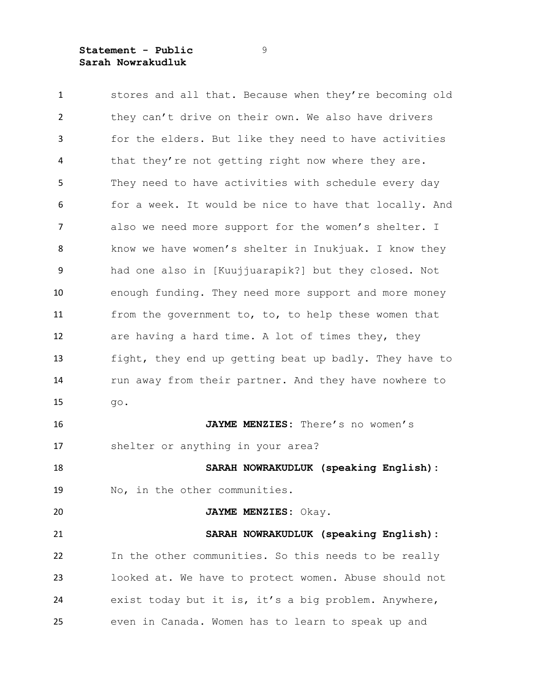stores and all that. Because when they're becoming old they can't drive on their own. We also have drivers for the elders. But like they need to have activities that they're not getting right now where they are. They need to have activities with schedule every day for a week. It would be nice to have that locally. And also we need more support for the women's shelter. I 8 know we have women's shelter in Inukjuak. I know they had one also in [Kuujjuarapik?] but they closed. Not enough funding. They need more support and more money from the government to, to, to help these women that are having a hard time. A lot of times they, they fight, they end up getting beat up badly. They have to 14 run away from their partner. And they have nowhere to go. **JAYME MENZIES:** There's no women's shelter or anything in your area? **SARAH NOWRAKUDLUK (speaking English):** No, in the other communities. **JAYME MENZIES:** Okay. **SARAH NOWRAKUDLUK (speaking English):** In the other communities. So this needs to be really looked at. We have to protect women. Abuse should not exist today but it is, it's a big problem. Anywhere, even in Canada. Women has to learn to speak up and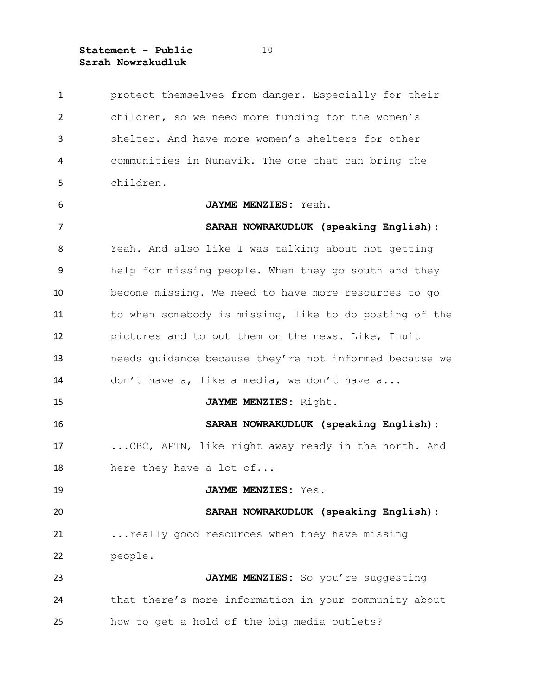protect themselves from danger. Especially for their children, so we need more funding for the women's shelter. And have more women's shelters for other communities in Nunavik. The one that can bring the children. **JAYME MENZIES:** Yeah. **SARAH NOWRAKUDLUK (speaking English):** Yeah. And also like I was talking about not getting help for missing people. When they go south and they become missing. We need to have more resources to go to when somebody is missing, like to do posting of the pictures and to put them on the news. Like, Inuit needs guidance because they're not informed because we don't have a, like a media, we don't have a... **JAYME MENZIES:** Right. **SARAH NOWRAKUDLUK (speaking English):** ...CBC, APTN, like right away ready in the north. And 18 here they have a lot of... **JAYME MENZIES:** Yes. **SARAH NOWRAKUDLUK (speaking English):** ...really good resources when they have missing people. **JAYME MENZIES:** So you're suggesting that there's more information in your community about how to get a hold of the big media outlets?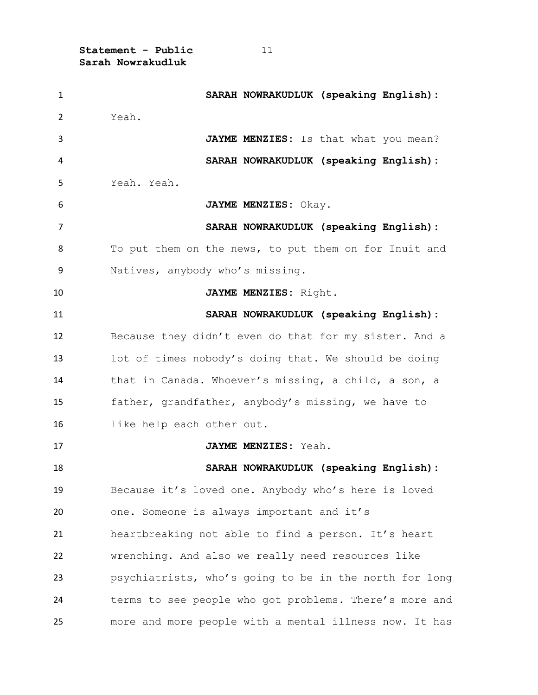| $\mathbf{1}$ | SARAH NOWRAKUDLUK (speaking English):                  |
|--------------|--------------------------------------------------------|
| 2            | Yeah.                                                  |
| 3            | JAYME MENZIES: Is that what you mean?                  |
| 4            | SARAH NOWRAKUDLUK (speaking English):                  |
| 5            | Yeah. Yeah.                                            |
| 6            | JAYME MENZIES: Okay.                                   |
| 7            | SARAH NOWRAKUDLUK (speaking English):                  |
| 8            | To put them on the news, to put them on for Inuit and  |
| 9            | Natives, anybody who's missing.                        |
| 10           | JAYME MENZIES: Right.                                  |
| 11           | SARAH NOWRAKUDLUK (speaking English):                  |
| 12           | Because they didn't even do that for my sister. And a  |
| 13           | lot of times nobody's doing that. We should be doing   |
| 14           | that in Canada. Whoever's missing, a child, a son, a   |
| 15           | father, grandfather, anybody's missing, we have to     |
| 16           | like help each other out.                              |
| 17           | JAYME MENZIES: Yeah.                                   |
| 18           | SARAH NOWRAKUDLUK (speaking English):                  |
| 19           | Because it's loved one. Anybody who's here is loved    |
| 20           | one. Someone is always important and it's              |
| 21           | heartbreaking not able to find a person. It's heart    |
| 22           | wrenching. And also we really need resources like      |
| 23           | psychiatrists, who's going to be in the north for long |
| 24           | terms to see people who got problems. There's more and |
| 25           | more and more people with a mental illness now. It has |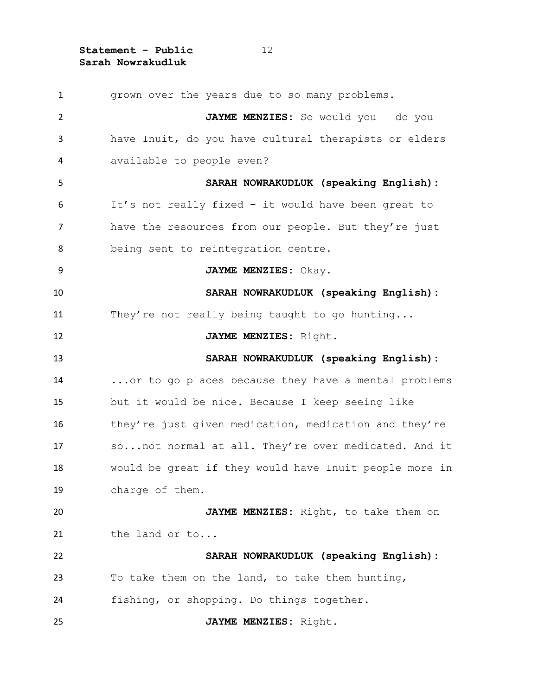grown over the years due to so many problems. **JAYME MENZIES:** So would you – do you have Inuit, do you have cultural therapists or elders available to people even? **SARAH NOWRAKUDLUK (speaking English):** It's not really fixed – it would have been great to have the resources from our people. But they're just being sent to reintegration centre. **JAYME MENZIES:** Okay. **SARAH NOWRAKUDLUK (speaking English):** 11 They're not really being taught to go hunting... **JAYME MENZIES:** Right. **SARAH NOWRAKUDLUK (speaking English):** ...or to go places because they have a mental problems but it would be nice. Because I keep seeing like 16 they're just given medication, medication and they're so...not normal at all. They're over medicated. And it would be great if they would have Inuit people more in charge of them. **JAYME MENZIES:** Right, to take them on 21 the land or to... **SARAH NOWRAKUDLUK (speaking English):** To take them on the land, to take them hunting, fishing, or shopping. Do things together. **JAYME MENZIES:** Right.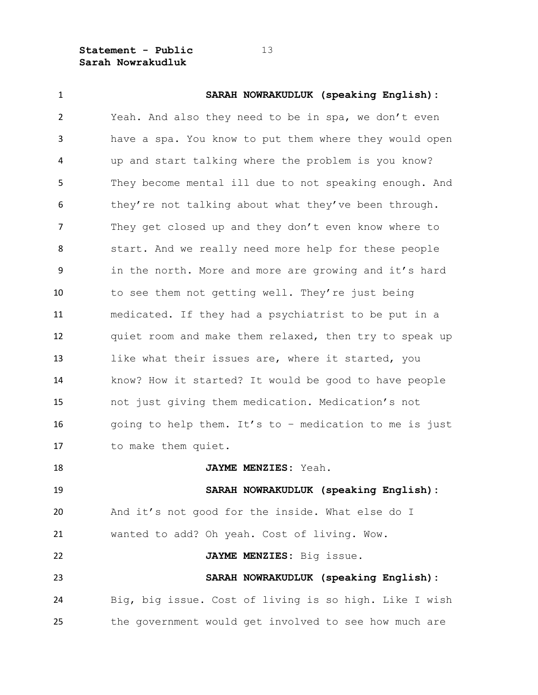| $\mathbf{1}$   | SARAH NOWRAKUDLUK (speaking English):                  |
|----------------|--------------------------------------------------------|
| $\overline{2}$ | Yeah. And also they need to be in spa, we don't even   |
| 3              | have a spa. You know to put them where they would open |
| 4              | up and start talking where the problem is you know?    |
| 5              | They become mental ill due to not speaking enough. And |
| 6              | they're not talking about what they've been through.   |
| $\overline{7}$ | They get closed up and they don't even know where to   |
| 8              | start. And we really need more help for these people   |
| 9              | in the north. More and more are growing and it's hard  |
| 10             | to see them not getting well. They're just being       |
| 11             | medicated. If they had a psychiatrist to be put in a   |
| 12             | quiet room and make them relaxed, then try to speak up |
| 13             | like what their issues are, where it started, you      |
| 14             | know? How it started? It would be good to have people  |
| 15             | not just giving them medication. Medication's not      |
| 16             | going to help them. It's to - medication to me is just |
| 17             | to make them quiet.                                    |
| 18             | JAYME MENZIES: Yeah.                                   |
| 19             | SARAH NOWRAKUDLUK (speaking English):                  |
| 20             | And it's not good for the inside. What else do I       |
| 21             | wanted to add? Oh yeah. Cost of living. Wow.           |
| 22             | JAYME MENZIES: Big issue.                              |
| 23             | SARAH NOWRAKUDLUK (speaking English):                  |
| 24             | Big, big issue. Cost of living is so high. Like I wish |
| 25             | the government would get involved to see how much are  |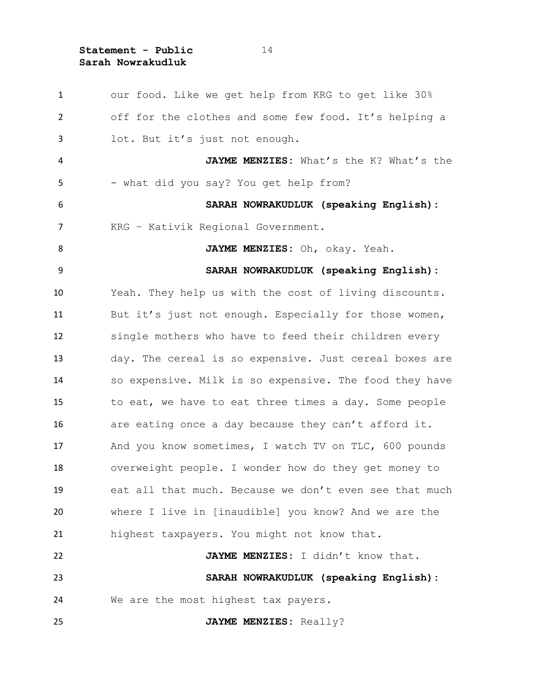our food. Like we get help from KRG to get like 30% off for the clothes and some few food. It's helping a lot. But it's just not enough. **JAYME MENZIES:** What's the K? What's the 5 - what did you say? You get help from? **SARAH NOWRAKUDLUK (speaking English):** KRG – Kativik Regional Government. **JAYME MENZIES:** Oh, okay. Yeah. **SARAH NOWRAKUDLUK (speaking English):** Yeah. They help us with the cost of living discounts. 11 But it's just not enough. Especially for those women, single mothers who have to feed their children every day. The cereal is so expensive. Just cereal boxes are so expensive. Milk is so expensive. The food they have to eat, we have to eat three times a day. Some people are eating once a day because they can't afford it. 17 And you know sometimes, I watch TV on TLC, 600 pounds overweight people. I wonder how do they get money to eat all that much. Because we don't even see that much where I live in [inaudible] you know? And we are the highest taxpayers. You might not know that. **JAYME MENZIES:** I didn't know that. **SARAH NOWRAKUDLUK (speaking English):** We are the most highest tax payers. **JAYME MENZIES:** Really?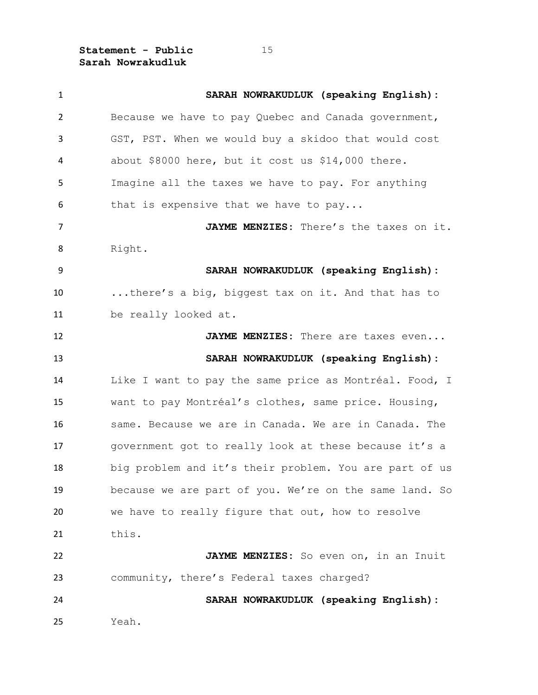| $\mathbf{1}$   | SARAH NOWRAKUDLUK (speaking English):                  |
|----------------|--------------------------------------------------------|
| $\overline{2}$ | Because we have to pay Quebec and Canada government,   |
| 3              | GST, PST. When we would buy a skidoo that would cost   |
| 4              | about \$8000 here, but it cost us \$14,000 there.      |
| 5              | Imagine all the taxes we have to pay. For anything     |
| 6              | that is expensive that we have to pay                  |
| $\overline{7}$ | JAYME MENZIES: There's the taxes on it.                |
| 8              | Right.                                                 |
| 9              | SARAH NOWRAKUDLUK (speaking English):                  |
| 10             | there's a big, biggest tax on it. And that has to      |
| 11             | be really looked at.                                   |
| 12             | JAYME MENZIES: There are taxes even                    |
| 13             | SARAH NOWRAKUDLUK (speaking English):                  |
| 14             | Like I want to pay the same price as Montréal. Food, I |
| 15             | want to pay Montréal's clothes, same price. Housing,   |
| 16             | same. Because we are in Canada. We are in Canada. The  |
| 17             | government got to really look at these because it's a  |
| 18             | big problem and it's their problem. You are part of us |
| 19             | because we are part of you. We're on the same land. So |
| 20             | we have to really figure that out, how to resolve      |
| 21             | this.                                                  |
| 22             | JAYME MENZIES: So even on, in an Inuit                 |
| 23             | community, there's Federal taxes charged?              |
| 24             | SARAH NOWRAKUDLUK (speaking English):                  |
| 25             | Yeah.                                                  |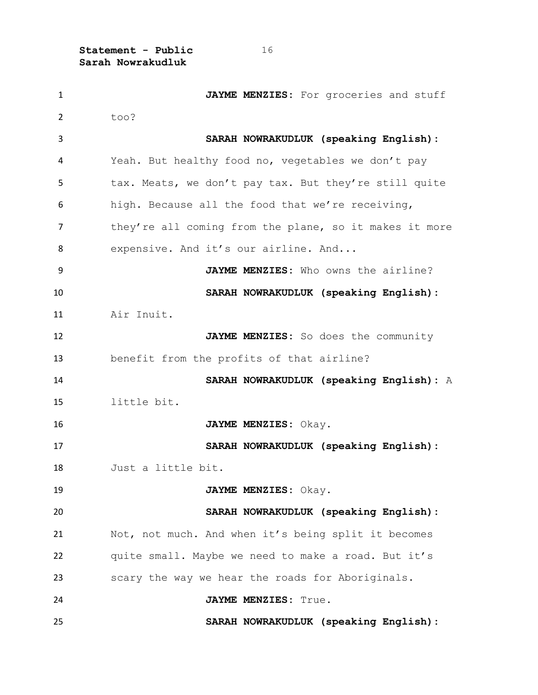| $\mathbf{1}$   | JAYME MENZIES: For groceries and stuff                 |
|----------------|--------------------------------------------------------|
| $\overline{2}$ | too?                                                   |
| 3              | SARAH NOWRAKUDLUK (speaking English):                  |
| 4              | Yeah. But healthy food no, vegetables we don't pay     |
| 5              | tax. Meats, we don't pay tax. But they're still quite  |
| 6              | high. Because all the food that we're receiving,       |
| 7              | they're all coming from the plane, so it makes it more |
| 8              | expensive. And it's our airline. And                   |
| 9              | JAYME MENZIES: Who owns the airline?                   |
| 10             | SARAH NOWRAKUDLUK (speaking English):                  |
| 11             | Air Inuit.                                             |
| 12             | JAYME MENZIES: So does the community                   |
| 13             | benefit from the profits of that airline?              |
| 14             | SARAH NOWRAKUDLUK (speaking English): A                |
| 15             | little bit.                                            |
| 16             | JAYME MENZIES: Okay.                                   |
| 17             | SARAH NOWRAKUDLUK (speaking English):                  |
| 18             | Just a little bit.                                     |
| 19             | JAYME MENZIES: Okay.                                   |
| 20             | SARAH NOWRAKUDLUK (speaking English):                  |
| 21             | Not, not much. And when it's being split it becomes    |
| 22             | quite small. Maybe we need to make a road. But it's    |
| 23             | scary the way we hear the roads for Aboriginals.       |
| 24             | JAYME MENZIES: True.                                   |
| 25             | SARAH NOWRAKUDLUK (speaking English):                  |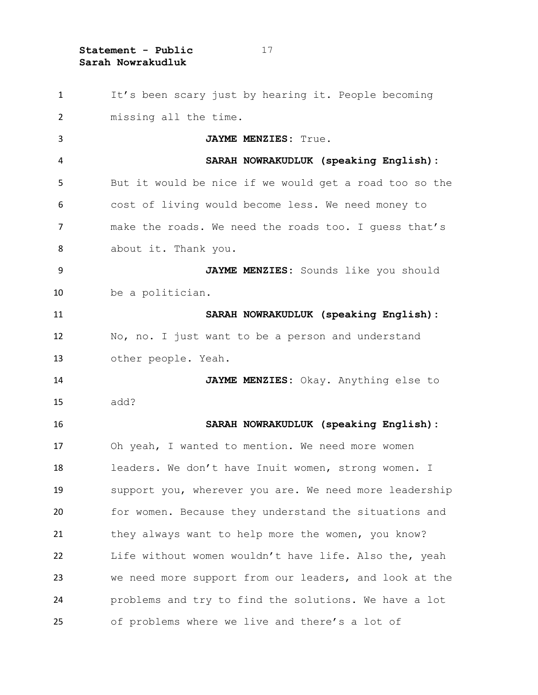| $\mathbf{1}$   | It's been scary just by hearing it. People becoming    |
|----------------|--------------------------------------------------------|
| $\overline{2}$ | missing all the time.                                  |
| 3              | JAYME MENZIES: True.                                   |
| 4              | SARAH NOWRAKUDLUK (speaking English):                  |
| 5              | But it would be nice if we would get a road too so the |
| 6              | cost of living would become less. We need money to     |
| $\overline{7}$ | make the roads. We need the roads too. I quess that's  |
| 8              | about it. Thank you.                                   |
| 9              | JAYME MENZIES: Sounds like you should                  |
| 10             | be a politician.                                       |
| 11             | SARAH NOWRAKUDLUK (speaking English):                  |
| 12             | No, no. I just want to be a person and understand      |
| 13             | other people. Yeah.                                    |
| 14             | JAYME MENZIES: Okay. Anything else to                  |
| 15             | add?                                                   |
| 16             | SARAH NOWRAKUDLUK (speaking English):                  |
| 17             | Oh yeah, I wanted to mention. We need more women       |
| 18             | leaders. We don't have Inuit women, strong women. I    |
| 19             | support you, wherever you are. We need more leadership |
| 20             | for women. Because they understand the situations and  |
| 21             | they always want to help more the women, you know?     |
| 22             | Life without women wouldn't have life. Also the, yeah  |
| 23             | we need more support from our leaders, and look at the |
| 24             | problems and try to find the solutions. We have a lot  |
| 25             | of problems where we live and there's a lot of         |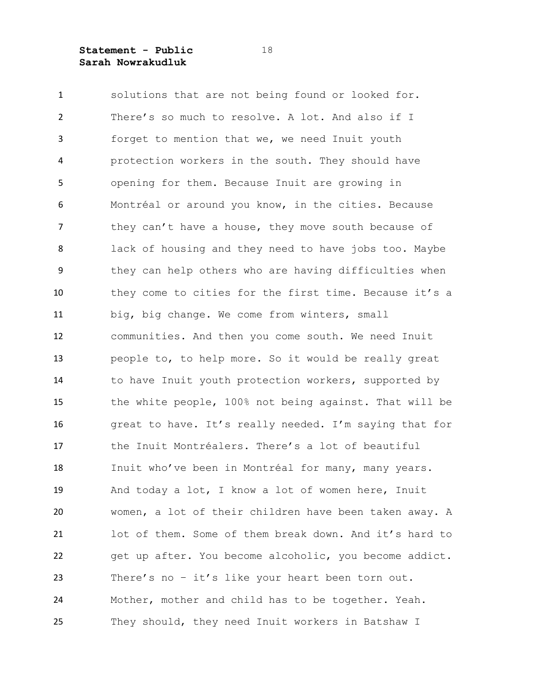solutions that are not being found or looked for. There's so much to resolve. A lot. And also if I forget to mention that we, we need Inuit youth protection workers in the south. They should have opening for them. Because Inuit are growing in Montréal or around you know, in the cities. Because 7 they can't have a house, they move south because of lack of housing and they need to have jobs too. Maybe they can help others who are having difficulties when they come to cities for the first time. Because it's a big, big change. We come from winters, small communities. And then you come south. We need Inuit people to, to help more. So it would be really great 14 to have Inuit youth protection workers, supported by the white people, 100% not being against. That will be great to have. It's really needed. I'm saying that for the Inuit Montréalers. There's a lot of beautiful 18 Inuit who've been in Montréal for many, many years. And today a lot, I know a lot of women here, Inuit women, a lot of their children have been taken away. A lot of them. Some of them break down. And it's hard to get up after. You become alcoholic, you become addict. There's no – it's like your heart been torn out. Mother, mother and child has to be together. Yeah. They should, they need Inuit workers in Batshaw I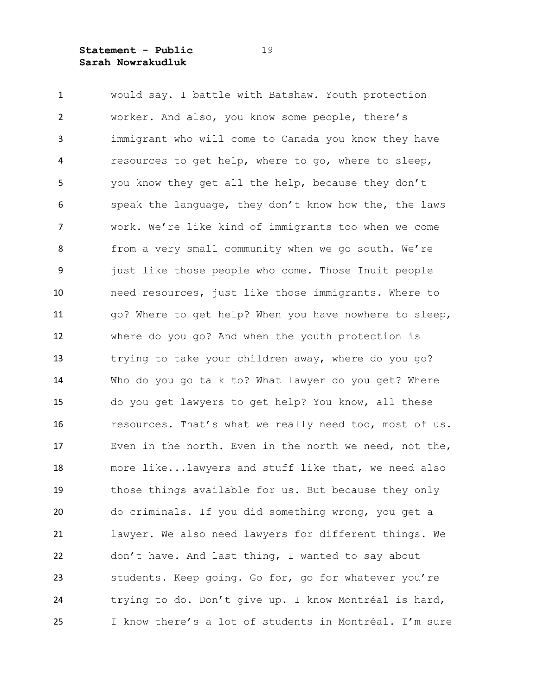would say. I battle with Batshaw. Youth protection worker. And also, you know some people, there's immigrant who will come to Canada you know they have resources to get help, where to go, where to sleep, you know they get all the help, because they don't speak the language, they don't know how the, the laws work. We're like kind of immigrants too when we come from a very small community when we go south. We're just like those people who come. Those Inuit people need resources, just like those immigrants. Where to go? Where to get help? When you have nowhere to sleep, where do you go? And when the youth protection is trying to take your children away, where do you go? Who do you go talk to? What lawyer do you get? Where do you get lawyers to get help? You know, all these resources. That's what we really need too, most of us. Even in the north. Even in the north we need, not the, more like...lawyers and stuff like that, we need also those things available for us. But because they only do criminals. If you did something wrong, you get a lawyer. We also need lawyers for different things. We don't have. And last thing, I wanted to say about students. Keep going. Go for, go for whatever you're trying to do. Don't give up. I know Montréal is hard, I know there's a lot of students in Montréal. I'm sure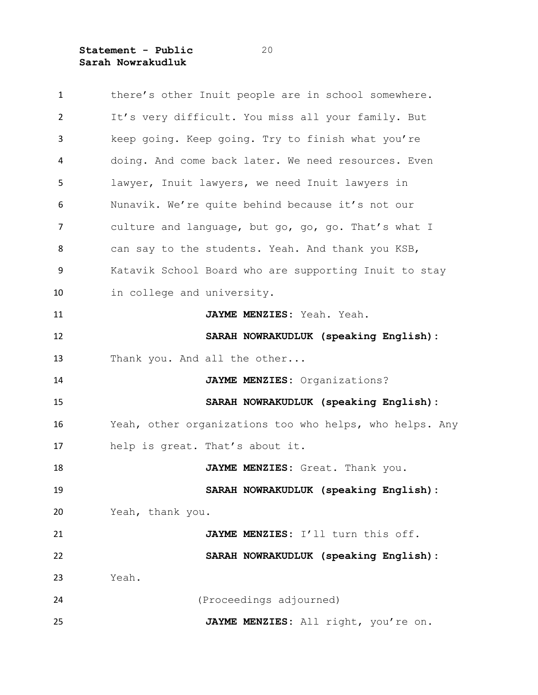| $\mathbf{1}$   | there's other Inuit people are in school somewhere.     |
|----------------|---------------------------------------------------------|
| $\overline{2}$ | It's very difficult. You miss all your family. But      |
| 3              | keep going. Keep going. Try to finish what you're       |
| 4              | doing. And come back later. We need resources. Even     |
| 5              | lawyer, Inuit lawyers, we need Inuit lawyers in         |
| 6              | Nunavik. We're quite behind because it's not our        |
| 7              | culture and language, but go, go, go. That's what I     |
| 8              | can say to the students. Yeah. And thank you KSB,       |
| 9              | Katavik School Board who are supporting Inuit to stay   |
| 10             | in college and university.                              |
| 11             | JAYME MENZIES: Yeah. Yeah.                              |
| 12             | SARAH NOWRAKUDLUK (speaking English):                   |
| 13             | Thank you. And all the other                            |
| 14             | JAYME MENZIES: Organizations?                           |
| 15             | SARAH NOWRAKUDLUK (speaking English):                   |
| 16             | Yeah, other organizations too who helps, who helps. Any |
| 17             | help is great. That's about it.                         |
| 18             | JAYME MENZIES: Great. Thank you.                        |
| 19             | SARAH NOWRAKUDLUK (speaking English):                   |
| 20             | Yeah, thank you.                                        |
| 21             | JAYME MENZIES: I'll turn this off.                      |
| 22             | SARAH NOWRAKUDLUK (speaking English):                   |
| 23             | Yeah.                                                   |
| 24             | (Proceedings adjourned)                                 |
| 25             | JAYME MENZIES: All right, you're on.                    |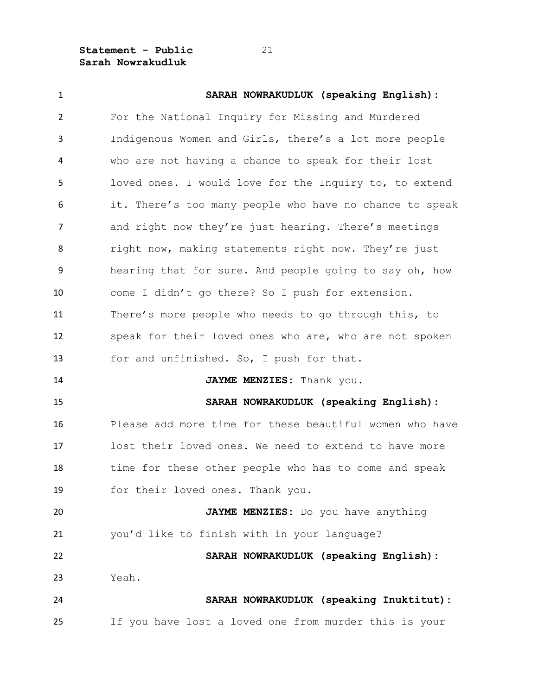| $\mathbf{1}$   | SARAH NOWRAKUDLUK (speaking English):                   |
|----------------|---------------------------------------------------------|
| $\overline{2}$ | For the National Inquiry for Missing and Murdered       |
| 3              | Indigenous Women and Girls, there's a lot more people   |
| 4              | who are not having a chance to speak for their lost     |
| 5              | loved ones. I would love for the Inquiry to, to extend  |
| 6              | it. There's too many people who have no chance to speak |
| $\overline{7}$ | and right now they're just hearing. There's meetings    |
| 8              | right now, making statements right now. They're just    |
| 9              | hearing that for sure. And people going to say oh, how  |
| 10             | come I didn't go there? So I push for extension.        |
| 11             | There's more people who needs to go through this, to    |
| 12             | speak for their loved ones who are, who are not spoken  |
| 13             | for and unfinished. So, I push for that.                |
| 14             | JAYME MENZIES: Thank you.                               |
| 15             | SARAH NOWRAKUDLUK (speaking English):                   |
| 16             | Please add more time for these beautiful women who have |
| 17             | lost their loved ones. We need to extend to have more   |
| 18             | time for these other people who has to come and speak   |
| 19             | for their loved ones. Thank you.                        |
| 20             | JAYME MENZIES: Do you have anything                     |
| 21             | you'd like to finish with in your language?             |
| 22             | SARAH NOWRAKUDLUK (speaking English):                   |
| 23             | Yeah.                                                   |
| 24             | SARAH NOWRAKUDLUK (speaking Inuktitut):                 |
| 25             | If you have lost a loved one from murder this is your   |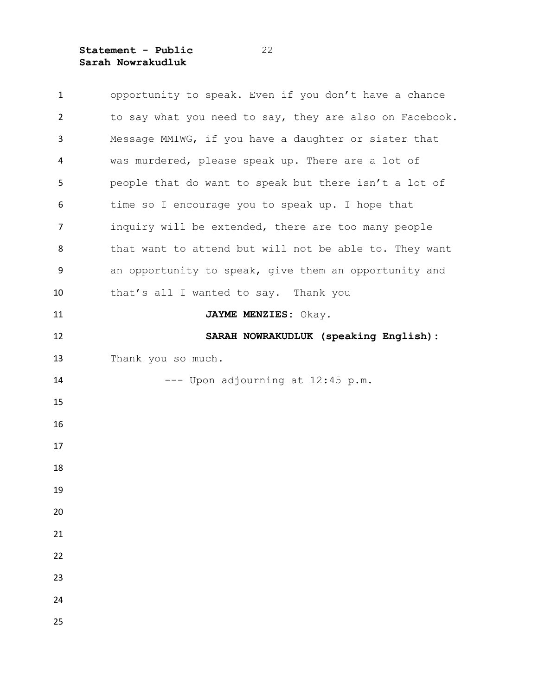| $\mathbf{1}$ | opportunity to speak. Even if you don't have a chance   |
|--------------|---------------------------------------------------------|
| 2            | to say what you need to say, they are also on Facebook. |
| 3            | Message MMIWG, if you have a daughter or sister that    |
| 4            | was murdered, please speak up. There are a lot of       |
| 5            | people that do want to speak but there isn't a lot of   |
| 6            | time so I encourage you to speak up. I hope that        |
| 7            | inquiry will be extended, there are too many people     |
| 8            | that want to attend but will not be able to. They want  |
| 9            | an opportunity to speak, give them an opportunity and   |
| 10           | that's all I wanted to say. Thank you                   |
| 11           | JAYME MENZIES: Okay.                                    |
| 12           | SARAH NOWRAKUDLUK (speaking English):                   |
| 13           | Thank you so much.                                      |
| 14           | --- Upon adjourning at 12:45 p.m.                       |
| 15           |                                                         |
| 16           |                                                         |
| 17           |                                                         |
| 18           |                                                         |
| 19           |                                                         |
| 20           |                                                         |
| 21           |                                                         |
| 22           |                                                         |
| 23           |                                                         |
| 24           |                                                         |
| 25           |                                                         |